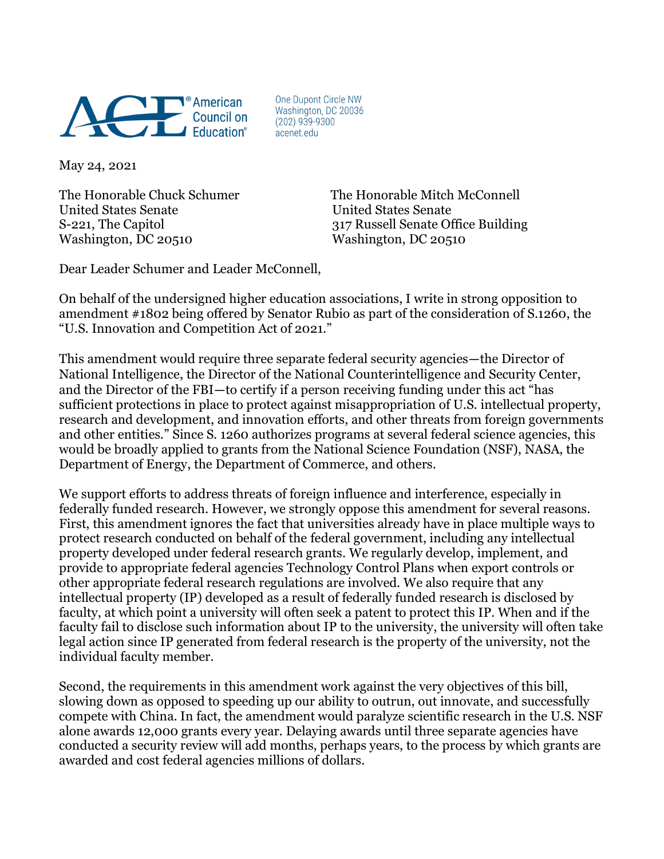

One Dupont Circle NW Washington, DC 20036  $(202)$  939-9300 acenet.edu

May 24, 2021

United States Senate United States Senate Washington, DC 20510 Washington, DC 20510

The Honorable Chuck Schumer The Honorable Mitch McConnell S-221, The Capitol 317 Russell Senate Office Building

Dear Leader Schumer and Leader McConnell,

On behalf of the undersigned higher education associations, I write in strong opposition to amendment #1802 being offered by Senator Rubio as part of the consideration of S.1260, the "U.S. Innovation and Competition Act of 2021."

This amendment would require three separate federal security agencies—the Director of National Intelligence, the Director of the National Counterintelligence and Security Center, and the Director of the FBI—to certify if a person receiving funding under this act "has sufficient protections in place to protect against misappropriation of U.S. intellectual property, research and development, and innovation efforts, and other threats from foreign governments and other entities." Since S. 1260 authorizes programs at several federal science agencies, this would be broadly applied to grants from the National Science Foundation (NSF), NASA, the Department of Energy, the Department of Commerce, and others.

We support efforts to address threats of foreign influence and interference, especially in federally funded research. However, we strongly oppose this amendment for several reasons. First, this amendment ignores the fact that universities already have in place multiple ways to protect research conducted on behalf of the federal government, including any intellectual property developed under federal research grants. We regularly develop, implement, and provide to appropriate federal agencies Technology Control Plans when export controls or other appropriate federal research regulations are involved. We also require that any intellectual property (IP) developed as a result of federally funded research is disclosed by faculty, at which point a university will often seek a patent to protect this IP. When and if the faculty fail to disclose such information about IP to the university, the university will often take legal action since IP generated from federal research is the property of the university, not the individual faculty member.

Second, the requirements in this amendment work against the very objectives of this bill, slowing down as opposed to speeding up our ability to outrun, out innovate, and successfully compete with China. In fact, the amendment would paralyze scientific research in the U.S. NSF alone awards 12,000 grants every year. Delaying awards until three separate agencies have conducted a security review will add months, perhaps years, to the process by which grants are awarded and cost federal agencies millions of dollars.